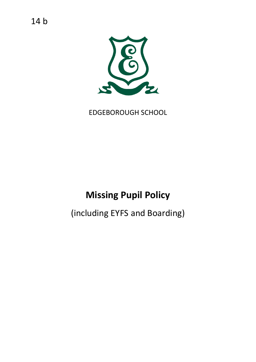14 b



EDGEBOROUGH SCHOOL

# **Missing Pupil Policy**

(including EYFS and Boarding)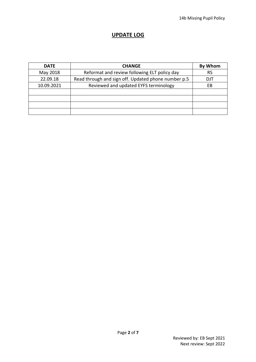#### **UPDATE LOG**

| <b>DATE</b> | <b>CHANGE</b>                                       | <b>By Whom</b> |
|-------------|-----------------------------------------------------|----------------|
| May 2018    | Reformat and review following ELT policy day        | <b>RS</b>      |
| 22.09.18    | Read through and sign off. Updated phone number p.5 | DJT            |
| 10.09.2021  | Reviewed and updated EYFS terminology               | EВ             |
|             |                                                     |                |
|             |                                                     |                |
|             |                                                     |                |
|             |                                                     |                |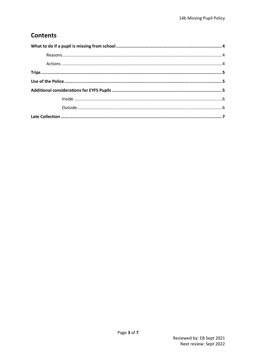## **Contents**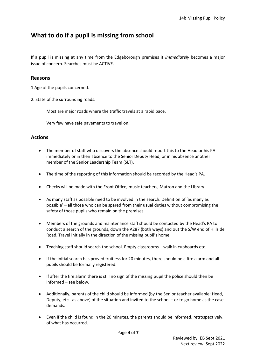## <span id="page-3-0"></span>**What to do if a pupil is missing from school**

If a pupil is missing at any time from the Edgeborough premises it *immediately* becomes a major issue of concern. Searches must be ACTIVE.

#### <span id="page-3-1"></span>**Reasons**

1 Age of the pupils concerned.

2. State of the surrounding roads.

Most are major roads where the traffic travels at a rapid pace.

Very few have safe pavements to travel on.

#### <span id="page-3-2"></span>**Actions**

- The member of staff who discovers the absence should report this to the Head or his PA immediately or in their absence to the Senior Deputy Head, or in his absence another member of the Senior Leadership Team (SLT).
- The time of the reporting of this information should be recorded by the Head's PA.
- Checks will be made with the Front Office, music teachers, Matron and the Library.
- As many staff as possible need to be involved in the search. Definition of 'as many as possible' – all those who can be spared from their usual duties without compromising the safety of those pupils who remain on the premises.
- Members of the grounds and maintenance staff should be contacted by the Head's PA to conduct a search of the grounds, down the A287 (both ways) and out the S/W end of Hillside Road. Travel initially in the direction of the missing pupil's home.
- Teaching staff should search the school. Empty classrooms walk in cupboards etc.
- If the initial search has proved fruitless for 20 minutes, there should be a fire alarm and all pupils should be formally registered.
- If after the fire alarm there is still no sign of the missing pupil the police should then be informed – see below.
- Additionally, parents of the child should be informed (by the Senior teacher available: Head, Deputy, etc - as above) of the situation and invited to the school – or to go home as the case demands.
- Even if the child is found in the 20 minutes, the parents should be informed, retrospectively, of what has occurred.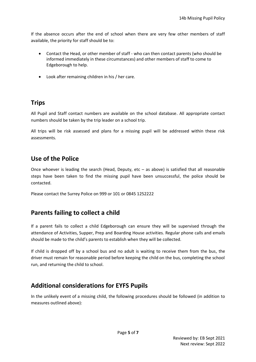If the absence occurs after the end of school when there are very few other members of staff available, the priority for staff should be to:

- Contact the Head, or other member of staff who can then contact parents (who should be informed immediately in these circumstances) and other members of staff to come to Edgeborough to help.
- Look after remaining children in his / her care.

## <span id="page-4-0"></span>**Trips**

All Pupil and Staff contact numbers are available on the school database. All appropriate contact numbers should be taken by the trip leader on a school trip.

All trips will be risk assessed and plans for a missing pupil will be addressed within these risk assessments.

#### <span id="page-4-1"></span>**Use of the Police**

Once whoever is leading the search (Head, Deputy,  $etc - as$  above) is satisfied that all reasonable steps have been taken to find the missing pupil have been unsuccessful, the police should be contacted.

Please contact the Surrey Police on 999 or 101 or 0845 1252222

## **Parents failing to collect a child**

If a parent fails to collect a child Edgeborough can ensure they will be supervised through the attendance of Activities, Supper, Prep and Boarding House activities. Regular phone calls and emails should be made to the child's parents to establish when they will be collected.

If child is dropped off by a school bus and no adult is waiting to receive them from the bus, the driver must remain for reasonable period before keeping the child on the bus, completing the school run, and returning the child to school.

## <span id="page-4-2"></span>**Additional considerations for EYFS Pupils**

In the unlikely event of a missing child, the following procedures should be followed (in addition to measures outlined above):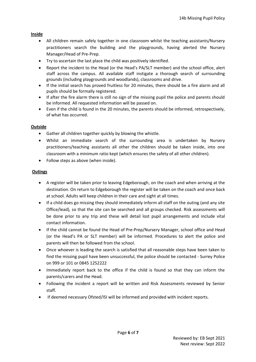#### <span id="page-5-0"></span>**Inside**

- All children remain safely together in one classroom whilst the teaching assistants/Nursery practitioners search the building and the playgrounds, having alerted the Nursery Manager/Head of Pre-Prep.
- Try to ascertain the last place the child was positively identified.
- Report the incident to the Head (or the Head's PA/SLT member) and the school office, alert staff across the campus. All available staff instigate a thorough search of surrounding grounds (including playgrounds and woodlands), classrooms and drive.
- If the initial search has proved fruitless for 20 minutes, there should be a fire alarm and all pupils should be formally registered.
- If after the fire alarm there is still no sign of the missing pupil the police and parents should be informed. All requested information will be passed on.
- Even if the child is found in the 20 minutes, the parents should be informed, retrospectively, of what has occurred.

#### <span id="page-5-1"></span>**Outside**

- Gather all children together quickly by blowing the whistle.
- Whilst an immediate search of the surrounding area is undertaken by Nursery practitioners/teaching assistants all other the children should be taken inside, into one classroom with a minimum ratio kept (which ensures the safety of all other children).
- Follow steps as above (when inside).

#### **Outings**

- A register will be taken prior to leaving Edgeborough, on the coach and when arriving at the destination. On return to Edgeborough the register will be taken on the coach and once back at school. Adults will keep children in their care and sight at all times.
- If a child does go missing they should immediately inform all staff on the outing (and any site Office/lead), so that the site can be searched and all groups checked. Risk assessments will be done prior to any trip and these will detail lost pupil arrangements and include vital contact information.
- If the child cannot be found the Head of Pre-Prep/Nursery Manager, school office and Head (or the Head's PA or SLT member) will be informed. Procedures to alert the police and parents will then be followed from the school.
- Once whoever is leading the search is satisfied that all reasonable steps have been taken to find the missing pupil have been unsuccessful, the police should be contacted - Surrey Police on 999 or 101 or 0845 1252222
- Immediately report back to the office if the child is found so that they can inform the parents/carers and the Head.
- Following the incident a report will be written and Risk Assessments reviewed by Senior staff.
- If deemed necessary Ofsted/ISI will be informed and provided with incident reports.